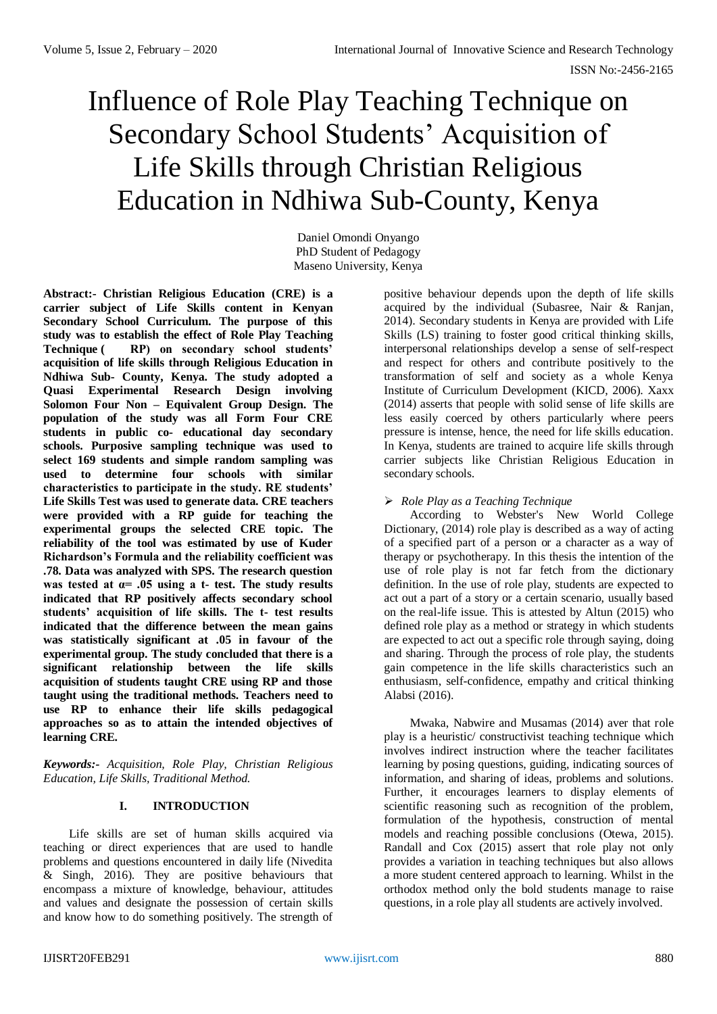# Influence of Role Play Teaching Technique on Secondary School Students' Acquisition of Life Skills through Christian Religious Education in Ndhiwa Sub-County, Kenya

Daniel Omondi Onyango PhD Student of Pedagogy Maseno University, Kenya

**Abstract:- Christian Religious Education (CRE) is a carrier subject of Life Skills content in Kenyan Secondary School Curriculum. The purpose of this study was to establish the effect of Role Play Teaching Technique ( RP) on secondary school students' acquisition of life skills through Religious Education in Ndhiwa Sub- County, Kenya. The study adopted a Quasi Experimental Research Design involving Solomon Four Non – Equivalent Group Design. The population of the study was all Form Four CRE students in public co- educational day secondary schools. Purposive sampling technique was used to select 169 students and simple random sampling was used to determine four schools with similar characteristics to participate in the study. RE students' Life Skills Test was used to generate data. CRE teachers were provided with a RP guide for teaching the experimental groups the selected CRE topic. The reliability of the tool was estimated by use of Kuder Richardson's Formula and the reliability coefficient was .78. Data was analyzed with SPS. The research question was tested at α= .05 using a t- test. The study results indicated that RP positively affects secondary school students' acquisition of life skills. The t- test results indicated that the difference between the mean gains was statistically significant at .05 in favour of the experimental group. The study concluded that there is a significant relationship between the life skills acquisition of students taught CRE using RP and those taught using the traditional methods. Teachers need to use RP to enhance their life skills pedagogical approaches so as to attain the intended objectives of learning CRE.**

*Keywords:- Acquisition, Role Play, Christian Religious Education, Life Skills, Traditional Method.*

# **I. INTRODUCTION**

Life skills are set of human skills acquired via teaching or direct experiences that are used to handle problems and questions encountered in daily life (Nivedita & Singh, 2016). They are positive behaviours that encompass a mixture of knowledge, behaviour, attitudes and values and designate the possession of certain skills and know how to do something positively. The strength of

positive behaviour depends upon the depth of life skills acquired by the individual (Subasree, Nair & Ranjan, 2014). Secondary students in Kenya are provided with Life Skills (LS) training to foster good critical thinking skills, interpersonal relationships develop a sense of self-respect and respect for others and contribute positively to the transformation of self and society as a whole Kenya Institute of Curriculum Development (KICD, 2006). Xaxx (2014) asserts that people with solid sense of life skills are less easily coerced by others particularly where peers pressure is intense, hence, the need for life skills education. In Kenya, students are trained to acquire life skills through carrier subjects like Christian Religious Education in secondary schools.

# *Role Play as a Teaching Technique*

According to Webster's New World College Dictionary, (2014) role play is described as a way of acting of a specified part of a person or a character as a way of therapy or psychotherapy. In this thesis the intention of the use of role play is not far fetch from the dictionary definition. In the use of role play, students are expected to act out a part of a story or a certain scenario, usually based on the real-life issue. This is attested by Altun (2015) who defined role play as a method or strategy in which students are expected to act out a specific role through saying, doing and sharing. Through the process of role play, the students gain competence in the life skills characteristics such an enthusiasm, self-confidence, empathy and critical thinking Alabsi (2016).

Mwaka, Nabwire and Musamas (2014) aver that role play is a heuristic/ constructivist teaching technique which involves indirect instruction where the teacher facilitates learning by posing questions, guiding, indicating sources of information, and sharing of ideas, problems and solutions. Further, it encourages learners to display elements of scientific reasoning such as recognition of the problem, formulation of the hypothesis, construction of mental models and reaching possible conclusions (Otewa, 2015). Randall and Cox (2015) assert that role play not only provides a variation in teaching techniques but also allows a more student centered approach to learning. Whilst in the orthodox method only the bold students manage to raise questions, in a role play all students are actively involved.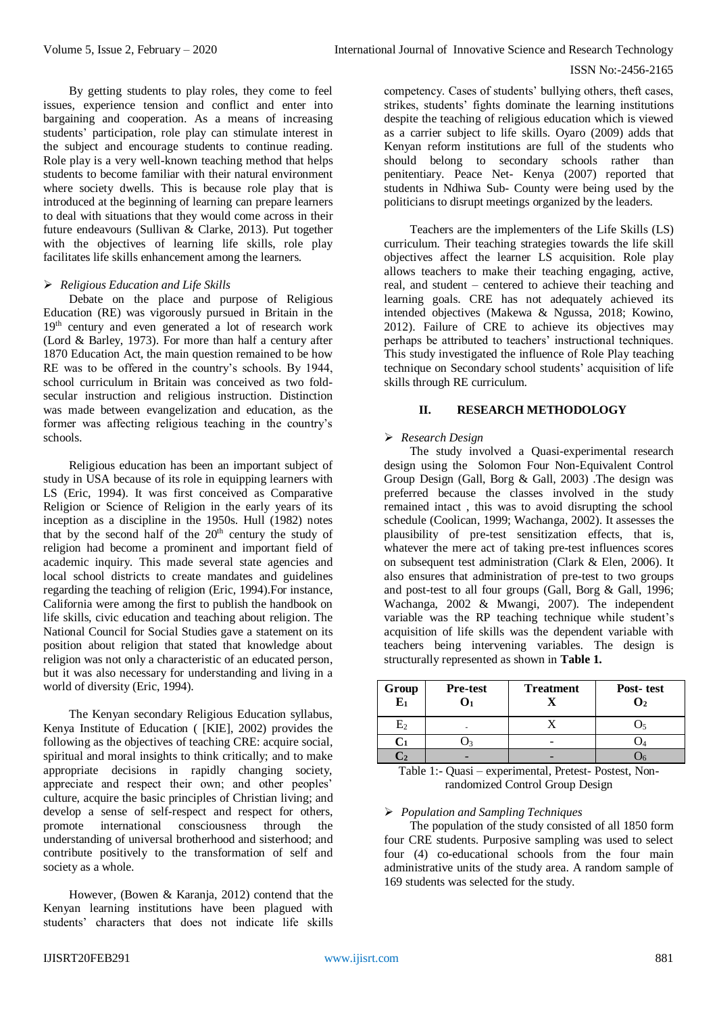#### ISSN No:-2456-2165

By getting students to play roles, they come to feel issues, experience tension and conflict and enter into bargaining and cooperation. As a means of increasing students' participation, role play can stimulate interest in the subject and encourage students to continue reading. Role play is a very well-known teaching method that helps students to become familiar with their natural environment where society dwells. This is because role play that is introduced at the beginning of learning can prepare learners to deal with situations that they would come across in their future endeavours (Sullivan & Clarke, 2013). Put together with the objectives of learning life skills, role play facilitates life skills enhancement among the learners.

## *Religious Education and Life Skills*

Debate on the place and purpose of Religious Education (RE) was vigorously pursued in Britain in the 19<sup>th</sup> century and even generated a lot of research work (Lord & Barley, 1973). For more than half a century after 1870 Education Act, the main question remained to be how RE was to be offered in the country's schools. By 1944, school curriculum in Britain was conceived as two foldsecular instruction and religious instruction. Distinction was made between evangelization and education, as the former was affecting religious teaching in the country's schools.

Religious education has been an important subject of study in USA because of its role in equipping learners with LS (Eric, 1994). It was first conceived as Comparative Religion or Science of Religion in the early years of its inception as a discipline in the 1950s. Hull (1982) notes that by the second half of the  $20<sup>th</sup>$  century the study of religion had become a prominent and important field of academic inquiry. This made several state agencies and local school districts to create mandates and guidelines regarding the teaching of religion (Eric, 1994).For instance, California were among the first to publish the handbook on life skills, civic education and teaching about religion. The National Council for Social Studies gave a statement on its position about religion that stated that knowledge about religion was not only a characteristic of an educated person, but it was also necessary for understanding and living in a world of diversity (Eric, 1994).

The Kenyan secondary Religious Education syllabus, Kenya Institute of Education ( [KIE], 2002) provides the following as the objectives of teaching CRE: acquire social, spiritual and moral insights to think critically; and to make appropriate decisions in rapidly changing society, appreciate and respect their own; and other peoples' culture, acquire the basic principles of Christian living; and develop a sense of self-respect and respect for others, promote international consciousness through the understanding of universal brotherhood and sisterhood; and contribute positively to the transformation of self and society as a whole.

However, (Bowen & Karanja, 2012) contend that the Kenyan learning institutions have been plagued with students' characters that does not indicate life skills

competency. Cases of students' bullying others, theft cases, strikes, students' fights dominate the learning institutions despite the teaching of religious education which is viewed as a carrier subject to life skills. Oyaro (2009) adds that Kenyan reform institutions are full of the students who should belong to secondary schools rather than penitentiary. Peace Net- Kenya (2007) reported that students in Ndhiwa Sub- County were being used by the politicians to disrupt meetings organized by the leaders.

Teachers are the implementers of the Life Skills (LS) curriculum. Their teaching strategies towards the life skill objectives affect the learner LS acquisition. Role play allows teachers to make their teaching engaging, active, real, and student – centered to achieve their teaching and learning goals. CRE has not adequately achieved its intended objectives (Makewa & Ngussa, 2018; Kowino, 2012). Failure of CRE to achieve its objectives may perhaps be attributed to teachers' instructional techniques. This study investigated the influence of Role Play teaching technique on Secondary school students' acquisition of life skills through RE curriculum.

# **II. RESEARCH METHODOLOGY**

# *Research Design*

The study involved a Quasi-experimental research design using the Solomon Four Non-Equivalent Control Group Design (Gall, Borg & Gall, 2003) .The design was preferred because the classes involved in the study remained intact , this was to avoid disrupting the school schedule (Coolican, 1999; Wachanga, 2002). It assesses the plausibility of pre-test sensitization effects, that is, whatever the mere act of taking pre-test influences scores on subsequent test administration (Clark & Elen, 2006). It also ensures that administration of pre-test to two groups and post-test to all four groups (Gall, Borg & Gall, 1996; Wachanga, 2002 & Mwangi, 2007). The independent variable was the RP teaching technique while student's acquisition of life skills was the dependent variable with teachers being intervening variables. The design is structurally represented as shown in **Table 1.**

| Group<br>$E_1$ | <b>Pre-test</b><br>01 | <b>Treatment</b> | Post-test<br>O2 |
|----------------|-----------------------|------------------|-----------------|
| $\rm E_{2}$    |                       |                  |                 |
|                |                       |                  |                 |
|                |                       |                  |                 |

Table 1:- Quasi – experimental, Pretest- Postest, Nonrandomized Control Group Design

## *Population and Sampling Techniques*

The population of the study consisted of all 1850 form four CRE students. Purposive sampling was used to select four (4) co-educational schools from the four main administrative units of the study area. A random sample of 169 students was selected for the study.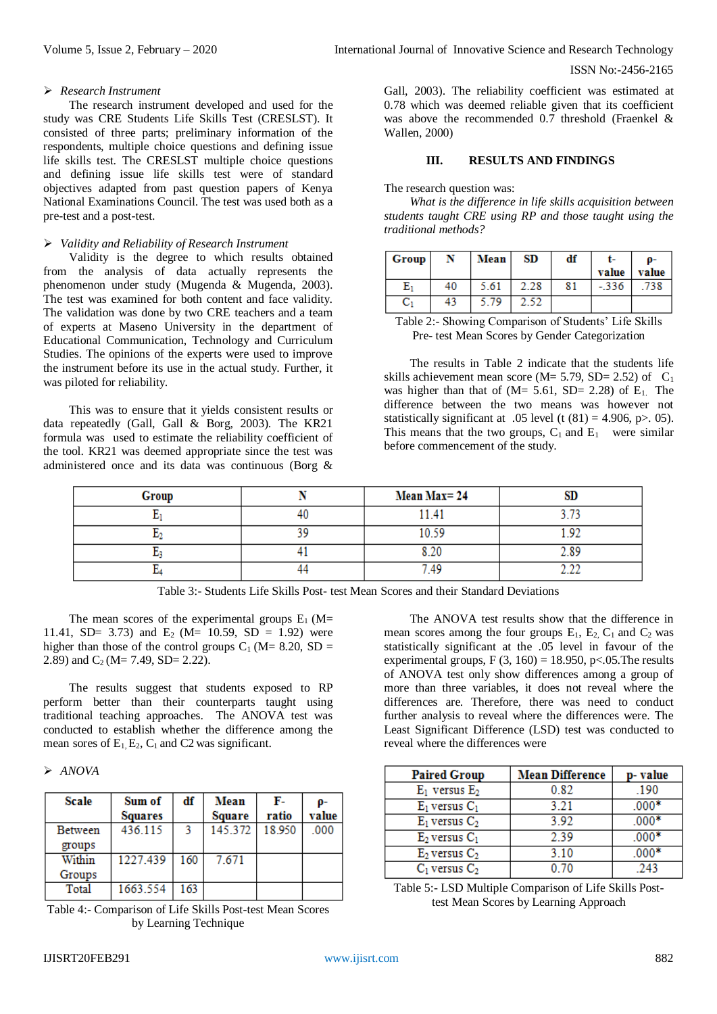#### ISSN No:-2456-2165

#### *Research Instrument*

The research instrument developed and used for the study was CRE Students Life Skills Test (CRESLST). It consisted of three parts; preliminary information of the respondents, multiple choice questions and defining issue life skills test. The CRESLST multiple choice questions and defining issue life skills test were of standard objectives adapted from past question papers of Kenya National Examinations Council. The test was used both as a pre-test and a post-test.

#### *Validity and Reliability of Research Instrument*

Validity is the degree to which results obtained from the analysis of data actually represents the phenomenon under study (Mugenda & Mugenda, 2003). The test was examined for both content and face validity. The validation was done by two CRE teachers and a team of experts at Maseno University in the department of Educational Communication, Technology and Curriculum Studies. The opinions of the experts were used to improve the instrument before its use in the actual study. Further, it was piloted for reliability.

This was to ensure that it yields consistent results or data repeatedly (Gall, Gall & Borg, 2003). The KR21 formula was used to estimate the reliability coefficient of the tool. KR21 was deemed appropriate since the test was administered once and its data was continuous (Borg &

Gall, 2003). The reliability coefficient was estimated at 0.78 which was deemed reliable given that its coefficient was above the recommended 0.7 threshold (Fraenkel & Wallen, 2000)

#### **III. RESULTS AND FINDINGS**

The research question was:

*What is the difference in life skills acquisition between students taught CRE using RP and those taught using the traditional methods?*

| Group          | N  | Mean | SD   | df | value   | O-<br>value |
|----------------|----|------|------|----|---------|-------------|
| $\mathrm{E}_1$ | 40 | 5.61 | 2.28 | 81 | $-.336$ | 738         |
| $\mathrm{C}_1$ | 43 | 5.79 | 2.52 |    |         |             |

Table 2:- Showing Comparison of Students' Life Skills Pre- test Mean Scores by Gender Categorization

The results in Table 2 indicate that the students life skills achievement mean score (M=  $5.79$ , SD=  $2.52$ ) of C<sub>1</sub> was higher than that of  $(M= 5.61, SD= 2.28)$  of  $E_1$ . The difference between the two means was however not statistically significant at .05 level (t  $(81) = 4.906$ , p $> 0.05$ ). This means that the two groups,  $C_1$  and  $E_1$  were similar before commencement of the study.

| Group | Mean Max=24 |  |
|-------|-------------|--|
|       | 141         |  |
|       |             |  |
|       |             |  |
|       |             |  |

Table 3:- Students Life Skills Post- test Mean Scores and their Standard Deviations

The mean scores of the experimental groups  $E_1$  (M= 11.41, SD= 3.73) and E<sub>2</sub> (M= 10.59, SD = 1.92) were higher than those of the control groups  $C_1$  (M= 8.20, SD = 2.89) and  $C_2$  (M= 7.49, SD= 2.22).

The results suggest that students exposed to RP perform better than their counterparts taught using traditional teaching approaches. The ANOVA test was conducted to establish whether the difference among the mean sores of  $E_1$ ,  $E_2$ ,  $C_1$  and  $C_2$  was significant.

## *ANOVA*

| <b>Scale</b> | Sum of<br><b>Squares</b> | df  | Mean<br>Square | F-<br>ratio | 0-<br>value |
|--------------|--------------------------|-----|----------------|-------------|-------------|
| Between      | 436.115                  | 3   | 145.372        | 18.950      | .000        |
| groups       |                          |     |                |             |             |
| Within       | 1227.439                 | 160 | 7.671          |             |             |
| Groups       |                          |     |                |             |             |
| Total        | 1663.554                 | 163 |                |             |             |

Table 4:- Comparison of Life Skills Post-test Mean Scores by Learning Technique

The ANOVA test results show that the difference in mean scores among the four groups  $E_1$ ,  $E_2$ ,  $C_1$  and  $C_2$  was statistically significant at the .05 level in favour of the experimental groups,  $F(3, 160) = 18.950$ , p<.05. The results of ANOVA test only show differences among a group of more than three variables, it does not reveal where the differences are. Therefore, there was need to conduct further analysis to reveal where the differences were. The Least Significant Difference (LSD) test was conducted to reveal where the differences were

| <b>Paired Group</b> | <b>Mean Difference</b> | p-value |
|---------------------|------------------------|---------|
| $E_1$ versus $E_2$  | 0.82                   | .190    |
| $E_1$ versus $C_1$  | 3.21                   | $.000*$ |
| $E_1$ versus $C_2$  | 3.92                   | $.000*$ |
| $E_2$ versus $C_1$  | 2.39                   | $.000*$ |
| $E_2$ versus $C_2$  | 3.10                   | $.000*$ |
| $C_1$ versus $C_2$  | 0.70                   | -243    |

Table 5:- LSD Multiple Comparison of Life Skills Posttest Mean Scores by Learning Approach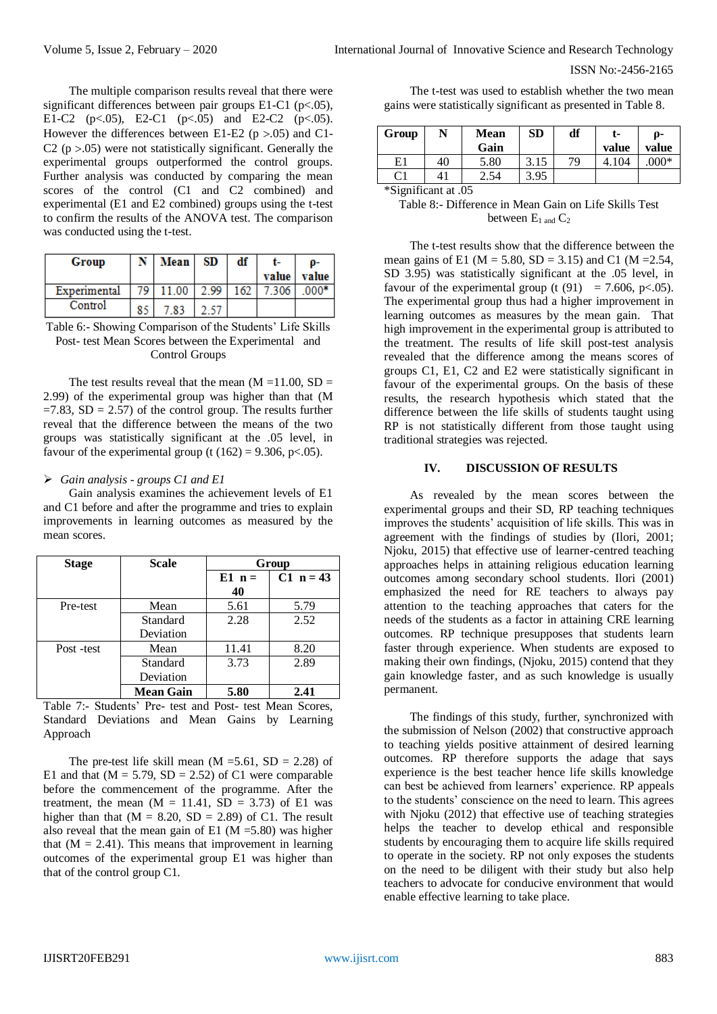The multiple comparison results reveal that there were significant differences between pair groups E1-C1 (p<.05), E1-C2 (p $< .05$ ), E2-C1 (p $< .05$ ) and E2-C2 (p $< .05$ ). However the differences between E1-E2 ( $p > 0.05$ ) and C1-C2 ( $p > 0.05$ ) were not statistically significant. Generally the experimental groups outperformed the control groups. Further analysis was conducted by comparing the mean scores of the control (C1 and C2 combined) and experimental (E1 and E2 combined) groups using the t-test to confirm the results of the ANOVA test. The comparison was conducted using the t-test.

| Group        |     | Mean | SD   | df  | value | 0-<br>value |
|--------------|-----|------|------|-----|-------|-------------|
| Experimental | 70. |      | 2.99 | 162 | 306   | $000*$      |
| Control      | 85  | -83  |      |     |       |             |

Table 6:- Showing Comparison of the Students' Life Skills Post- test Mean Scores between the Experimental and Control Groups

The test results reveal that the mean  $(M = 11.00, SD =$ 2.99) of the experimental group was higher than that (M  $=7.83$ , SD  $= 2.57$ ) of the control group. The results further reveal that the difference between the means of the two groups was statistically significant at the .05 level, in favour of the experimental group (t  $(162) = 9.306$ , p<.05).

## *Gain analysis - groups C1 and E1*

Gain analysis examines the achievement levels of E1 and C1 before and after the programme and tries to explain improvements in learning outcomes as measured by the mean scores.

| <b>Stage</b> | Scale            | Group |             |
|--------------|------------------|-------|-------------|
|              | $E1 n =$         |       | $C1 n = 43$ |
|              |                  | 40    |             |
| Pre-test     | Mean             | 5.61  | 5.79        |
|              | Standard         | 2.28  | 2.52        |
|              | Deviation        |       |             |
| Post-test    | Mean             | 11.41 | 8.20        |
|              | Standard         | 3.73  | 2.89        |
|              | Deviation        |       |             |
|              | <b>Mean Gain</b> | 5.80  | 2.41        |

Table 7:- Students' Pre- test and Post- test Mean Scores, Standard Deviations and Mean Gains by Learning Approach

The pre-test life skill mean  $(M = 5.61, SD = 2.28)$  of E1 and that  $(M = 5.79, SD = 2.52)$  of C1 were comparable before the commencement of the programme. After the treatment, the mean  $(M = 11.41, SD = 3.73)$  of E1 was higher than that  $(M = 8.20, SD = 2.89)$  of C1. The result also reveal that the mean gain of E1 ( $M = 5.80$ ) was higher that  $(M = 2.41)$ . This means that improvement in learning outcomes of the experimental group E1 was higher than that of the control group C1.

The t-test was used to establish whether the two mean gains were statistically significant as presented in Table 8.

| Group              | N  | Mean<br>Gain | <b>SD</b> | df | t-<br>value | 0-<br>value |  |
|--------------------|----|--------------|-----------|----|-------------|-------------|--|
| E1                 | 40 | 5.80         | 3.15      | 79 | 104         | $000*$      |  |
| C1                 | 41 | 2.54         | 3.95      |    |             |             |  |
| $40'$ $10'$ $10''$ |    |              |           |    |             |             |  |

\*Significant at .05

Table 8:- Difference in Mean Gain on Life Skills Test between  $E_1$  and  $C_2$ 

The t-test results show that the difference between the mean gains of E1 ( $M = 5.80$ ,  $SD = 3.15$ ) and C1 ( $M = 2.54$ , SD 3.95) was statistically significant at the .05 level, in favour of the experimental group (t (91) = 7.606, p $\lt$ .05). The experimental group thus had a higher improvement in learning outcomes as measures by the mean gain. That high improvement in the experimental group is attributed to the treatment. The results of life skill post-test analysis revealed that the difference among the means scores of groups C1, E1, C2 and E2 were statistically significant in favour of the experimental groups. On the basis of these results, the research hypothesis which stated that the difference between the life skills of students taught using RP is not statistically different from those taught using traditional strategies was rejected.

# **IV. DISCUSSION OF RESULTS**

As revealed by the mean scores between the experimental groups and their SD, RP teaching techniques improves the students' acquisition of life skills. This was in agreement with the findings of studies by (Ilori, 2001; Njoku, 2015) that effective use of learner-centred teaching approaches helps in attaining religious education learning outcomes among secondary school students. Ilori (2001) emphasized the need for RE teachers to always pay attention to the teaching approaches that caters for the needs of the students as a factor in attaining CRE learning outcomes. RP technique presupposes that students learn faster through experience. When students are exposed to making their own findings, (Njoku, 2015) contend that they gain knowledge faster, and as such knowledge is usually permanent.

The findings of this study, further, synchronized with the submission of Nelson (2002) that constructive approach to teaching yields positive attainment of desired learning outcomes. RP therefore supports the adage that says experience is the best teacher hence life skills knowledge can best be achieved from learners' experience. RP appeals to the students' conscience on the need to learn. This agrees with Njoku (2012) that effective use of teaching strategies helps the teacher to develop ethical and responsible students by encouraging them to acquire life skills required to operate in the society. RP not only exposes the students on the need to be diligent with their study but also help teachers to advocate for conducive environment that would enable effective learning to take place.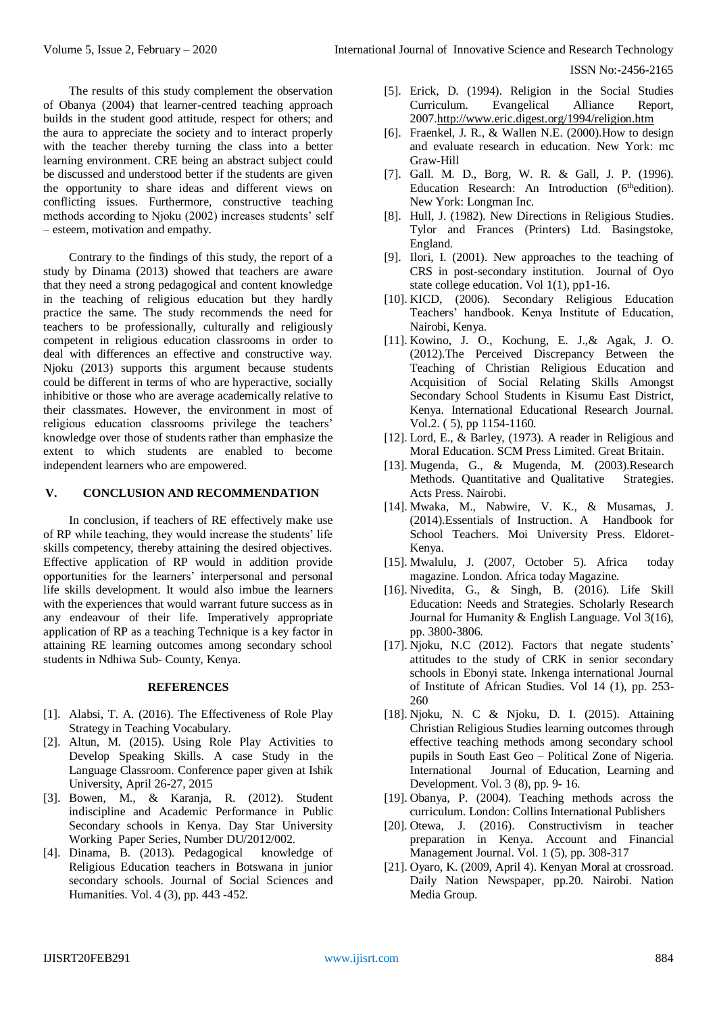ISSN No:-2456-2165

The results of this study complement the observation of Obanya (2004) that learner-centred teaching approach builds in the student good attitude, respect for others; and the aura to appreciate the society and to interact properly with the teacher thereby turning the class into a better learning environment. CRE being an abstract subject could be discussed and understood better if the students are given the opportunity to share ideas and different views on conflicting issues. Furthermore, constructive teaching methods according to Njoku (2002) increases students' self – esteem, motivation and empathy.

Contrary to the findings of this study, the report of a study by Dinama (2013) showed that teachers are aware that they need a strong pedagogical and content knowledge in the teaching of religious education but they hardly practice the same. The study recommends the need for teachers to be professionally, culturally and religiously competent in religious education classrooms in order to deal with differences an effective and constructive way. Njoku (2013) supports this argument because students could be different in terms of who are hyperactive, socially inhibitive or those who are average academically relative to their classmates. However, the environment in most of religious education classrooms privilege the teachers' knowledge over those of students rather than emphasize the extent to which students are enabled to become independent learners who are empowered.

## **V. CONCLUSION AND RECOMMENDATION**

In conclusion, if teachers of RE effectively make use of RP while teaching, they would increase the students' life skills competency, thereby attaining the desired objectives. Effective application of RP would in addition provide opportunities for the learners' interpersonal and personal life skills development. It would also imbue the learners with the experiences that would warrant future success as in any endeavour of their life. Imperatively appropriate application of RP as a teaching Technique is a key factor in attaining RE learning outcomes among secondary school students in Ndhiwa Sub- County, Kenya.

#### **REFERENCES**

- [1]. Alabsi, T. A. (2016). The Effectiveness of Role Play Strategy in Teaching Vocabulary.
- [2]. Altun, M. (2015). Using Role Play Activities to Develop Speaking Skills. A case Study in the Language Classroom. Conference paper given at Ishik University, April 26-27, 2015
- [3]. Bowen, M., & Karanja, R. (2012). Student indiscipline and Academic Performance in Public Secondary schools in Kenya. Day Star University Working Paper Series, Number DU/2012/002.
- [4]. Dinama, B. (2013). Pedagogical knowledge of Religious Education teachers in Botswana in junior secondary schools. Journal of Social Sciences and Humanities. Vol. 4 (3), pp. 443 -452.
- [5]. Erick, D. (1994). Religion in the Social Studies Curriculum. Evangelical Alliance Report, 200[7.http://www.eric.digest.org/1994/religion.htm](http://www.eric.digest.org/1994/religion.htm)
- [6]. Fraenkel, J. R., & Wallen N.E. (2000).How to design and evaluate research in education. New York: mc Graw-Hill
- [7]. Gall. M. D., Borg, W. R. & Gall, J. P. (1996). Education Research: An Introduction (6<sup>th</sup>edition). New York: Longman Inc.
- [8]. Hull, J. (1982). New Directions in Religious Studies. Tylor and Frances (Printers) Ltd. Basingstoke, England.
- [9]. Ilori, I. (2001). New approaches to the teaching of CRS in post-secondary institution. Journal of Oyo state college education. Vol 1(1), pp1-16.
- [10]. KICD, (2006). Secondary Religious Education Teachers' handbook. Kenya Institute of Education, Nairobi, Kenya.
- [11]. Kowino, J. O., Kochung, E. J.,& Agak, J. O. (2012).The Perceived Discrepancy Between the Teaching of Christian Religious Education and Acquisition of Social Relating Skills Amongst Secondary School Students in Kisumu East District, Kenya. International Educational Research Journal. Vol.2. ( 5), pp 1154-1160.
- [12]. Lord, E., & Barley, (1973). A reader in Religious and Moral Education. SCM Press Limited. Great Britain.
- [13]. Mugenda, G., & Mugenda, M. (2003).Research Methods. Quantitative and Qualitative Strategies. Acts Press. Nairobi.
- [14]. Mwaka, M., Nabwire, V. K., & Musamas, J. (2014).Essentials of Instruction. A Handbook for School Teachers. Moi University Press. Eldoret-Kenya.
- [15]. Mwalulu, J. (2007, October 5). Africa today magazine. London. Africa today Magazine.
- [16]. Nivedita, G., & Singh, B. (2016). Life Skill Education: Needs and Strategies. Scholarly Research Journal for Humanity & English Language. Vol 3(16), pp. 3800-3806.
- [17]. Njoku, N.C (2012). Factors that negate students' attitudes to the study of CRK in senior secondary schools in Ebonyi state. Inkenga international Journal of Institute of African Studies. Vol 14 (1), pp. 253- 260
- [18]. Njoku, N. C & Njoku, D. I. (2015). Attaining Christian Religious Studies learning outcomes through effective teaching methods among secondary school pupils in South East Geo – Political Zone of Nigeria. International Journal of Education, Learning and Development. Vol. 3 (8), pp. 9- 16.
- [19]. Obanya, P. (2004). Teaching methods across the curriculum. London: Collins International Publishers
- [20]. Otewa, J. (2016). Constructivism in teacher preparation in Kenya. Account and Financial Management Journal. Vol. 1 (5), pp. 308-317
- [21]. Oyaro, K. (2009, April 4). Kenyan Moral at crossroad. Daily Nation Newspaper, pp.20. Nairobi. Nation Media Group.